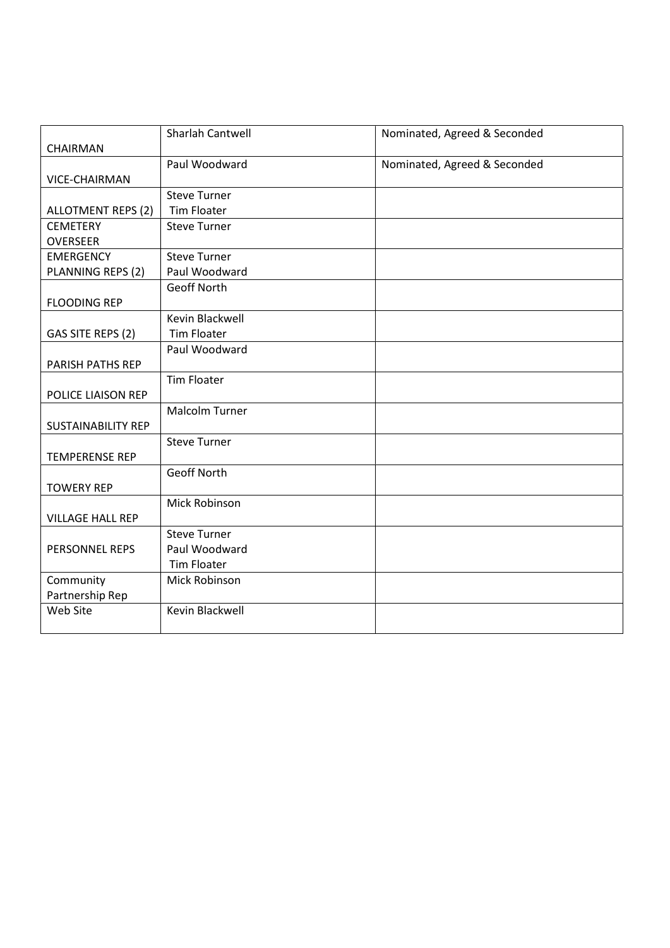|                           | Sharlah Cantwell    | Nominated, Agreed & Seconded |
|---------------------------|---------------------|------------------------------|
| CHAIRMAN                  |                     |                              |
|                           | Paul Woodward       | Nominated, Agreed & Seconded |
| VICE-CHAIRMAN             |                     |                              |
|                           | <b>Steve Turner</b> |                              |
| ALLOTMENT REPS (2)        | <b>Tim Floater</b>  |                              |
| <b>CEMETERY</b>           | <b>Steve Turner</b> |                              |
| <b>OVERSEER</b>           |                     |                              |
| <b>EMERGENCY</b>          | <b>Steve Turner</b> |                              |
| PLANNING REPS (2)         | Paul Woodward       |                              |
|                           | <b>Geoff North</b>  |                              |
| <b>FLOODING REP</b>       |                     |                              |
|                           | Kevin Blackwell     |                              |
| GAS SITE REPS (2)         | <b>Tim Floater</b>  |                              |
|                           | Paul Woodward       |                              |
| PARISH PATHS REP          |                     |                              |
|                           | <b>Tim Floater</b>  |                              |
| POLICE LIAISON REP        |                     |                              |
|                           | Malcolm Turner      |                              |
| <b>SUSTAINABILITY REP</b> |                     |                              |
|                           | <b>Steve Turner</b> |                              |
| <b>TEMPERENSE REP</b>     |                     |                              |
|                           | <b>Geoff North</b>  |                              |
| <b>TOWERY REP</b>         |                     |                              |
|                           | Mick Robinson       |                              |
| <b>VILLAGE HALL REP</b>   |                     |                              |
|                           | <b>Steve Turner</b> |                              |
| PERSONNEL REPS            | Paul Woodward       |                              |
|                           | <b>Tim Floater</b>  |                              |
| Community                 | Mick Robinson       |                              |
| Partnership Rep           |                     |                              |
| Web Site                  | Kevin Blackwell     |                              |
|                           |                     |                              |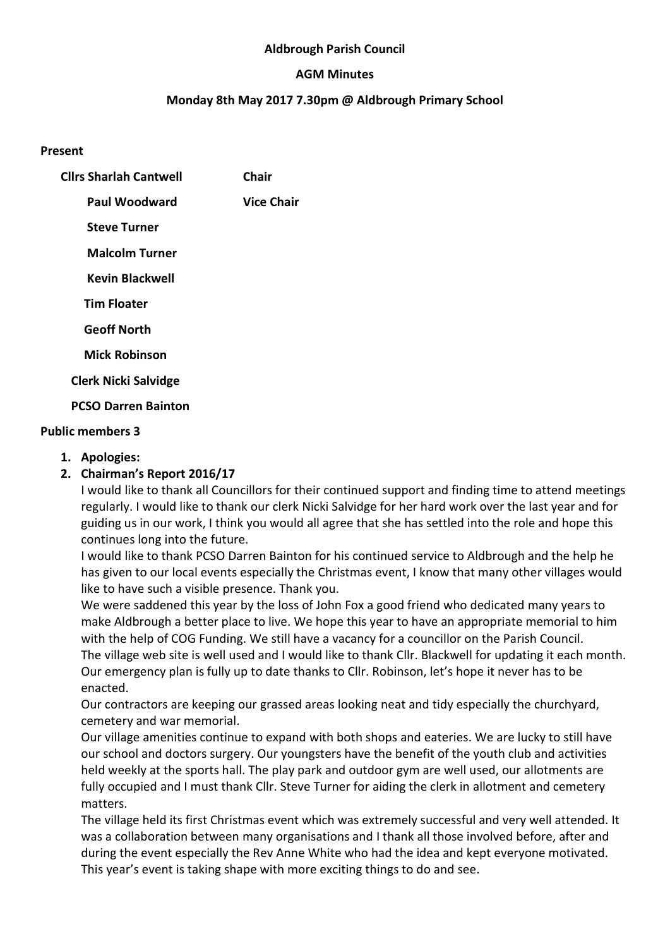#### Aldbrough Parish Council

### AGM Minutes

### Monday 8th May 2017 7.30pm @ Aldbrough Primary School

#### Present

| <b>Clirs Sharlah Cantwell</b> | Chair             |
|-------------------------------|-------------------|
| Paul Woodward                 | <b>Vice Chair</b> |
| <b>Steve Turner</b>           |                   |
| <b>Malcolm Turner</b>         |                   |
| <b>Kevin Blackwell</b>        |                   |
| <b>Tim Floater</b>            |                   |
| <b>Geoff North</b>            |                   |
| <b>Mick Robinson</b>          |                   |
| <b>Clerk Nicki Salvidge</b>   |                   |
| <b>PCSO Darren Bainton</b>    |                   |

#### Public members 3

1. Apologies:

## 2. Chairman's Report 2016/17

I would like to thank all Councillors for their continued support and finding time to attend meetings regularly. I would like to thank our clerk Nicki Salvidge for her hard work over the last year and for guiding us in our work, I think you would all agree that she has settled into the role and hope this continues long into the future.

I would like to thank PCSO Darren Bainton for his continued service to Aldbrough and the help he has given to our local events especially the Christmas event, I know that many other villages would like to have such a visible presence. Thank you.

We were saddened this year by the loss of John Fox a good friend who dedicated many years to make Aldbrough a better place to live. We hope this year to have an appropriate memorial to him with the help of COG Funding. We still have a vacancy for a councillor on the Parish Council. The village web site is well used and I would like to thank Cllr. Blackwell for updating it each month. Our emergency plan is fully up to date thanks to Cllr. Robinson, let's hope it never has to be enacted.

Our contractors are keeping our grassed areas looking neat and tidy especially the churchyard, cemetery and war memorial.

Our village amenities continue to expand with both shops and eateries. We are lucky to still have our school and doctors surgery. Our youngsters have the benefit of the youth club and activities held weekly at the sports hall. The play park and outdoor gym are well used, our allotments are fully occupied and I must thank Cllr. Steve Turner for aiding the clerk in allotment and cemetery matters.

The village held its first Christmas event which was extremely successful and very well attended. It was a collaboration between many organisations and I thank all those involved before, after and during the event especially the Rev Anne White who had the idea and kept everyone motivated. This year's event is taking shape with more exciting things to do and see.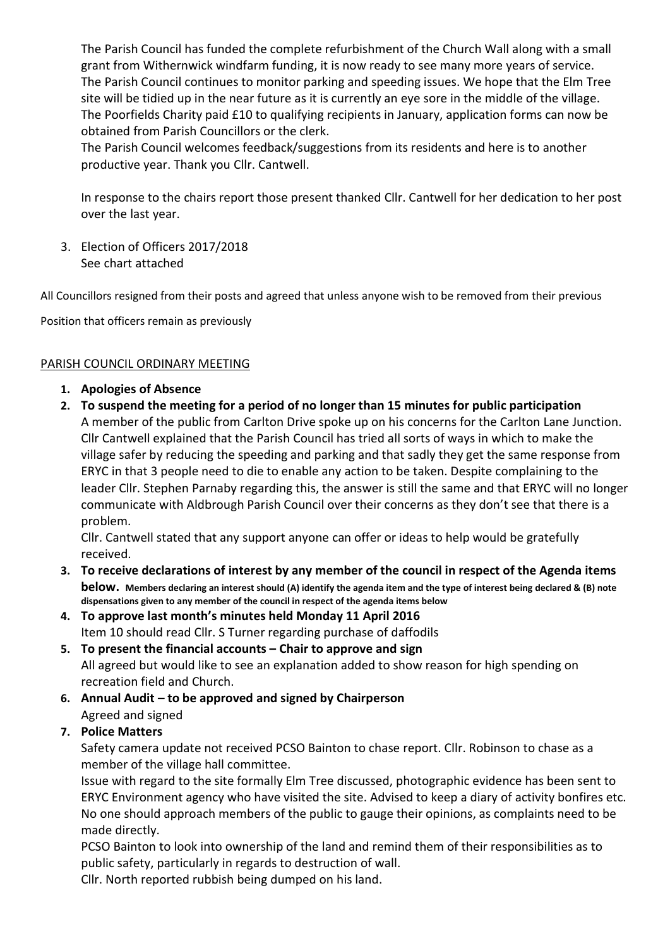The Parish Council has funded the complete refurbishment of the Church Wall along with a small grant from Withernwick windfarm funding, it is now ready to see many more years of service. The Parish Council continues to monitor parking and speeding issues. We hope that the Elm Tree site will be tidied up in the near future as it is currently an eye sore in the middle of the village. The Poorfields Charity paid £10 to qualifying recipients in January, application forms can now be obtained from Parish Councillors or the clerk.

The Parish Council welcomes feedback/suggestions from its residents and here is to another productive year. Thank you Cllr. Cantwell.

In response to the chairs report those present thanked Cllr. Cantwell for her dedication to her post over the last year.

3. Election of Officers 2017/2018 See chart attached

All Councillors resigned from their posts and agreed that unless anyone wish to be removed from their previous

Position that officers remain as previously

#### PARISH COUNCIL ORDINARY MEETING

- 1. Apologies of Absence
- 2. To suspend the meeting for a period of no longer than 15 minutes for public participation A member of the public from Carlton Drive spoke up on his concerns for the Carlton Lane Junction. Cllr Cantwell explained that the Parish Council has tried all sorts of ways in which to make the village safer by reducing the speeding and parking and that sadly they get the same response from ERYC in that 3 people need to die to enable any action to be taken. Despite complaining to the leader Cllr. Stephen Parnaby regarding this, the answer is still the same and that ERYC will no longer communicate with Aldbrough Parish Council over their concerns as they don't see that there is a problem.

Cllr. Cantwell stated that any support anyone can offer or ideas to help would be gratefully received.

- 3. To receive declarations of interest by any member of the council in respect of the Agenda items below. Members declaring an interest should (A) identify the agenda item and the type of interest being declared & (B) note dispensations given to any member of the council in respect of the agenda items below
- 4. To approve last month's minutes held Monday 11 April 2016 Item 10 should read Cllr. S Turner regarding purchase of daffodils
- 5. To present the financial accounts Chair to approve and sign All agreed but would like to see an explanation added to show reason for high spending on recreation field and Church.
- 6. Annual Audit to be approved and signed by Chairperson Agreed and signed

## 7. Police Matters

Safety camera update not received PCSO Bainton to chase report. Cllr. Robinson to chase as a member of the village hall committee.

Issue with regard to the site formally Elm Tree discussed, photographic evidence has been sent to ERYC Environment agency who have visited the site. Advised to keep a diary of activity bonfires etc. No one should approach members of the public to gauge their opinions, as complaints need to be made directly.

PCSO Bainton to look into ownership of the land and remind them of their responsibilities as to public safety, particularly in regards to destruction of wall.

Cllr. North reported rubbish being dumped on his land.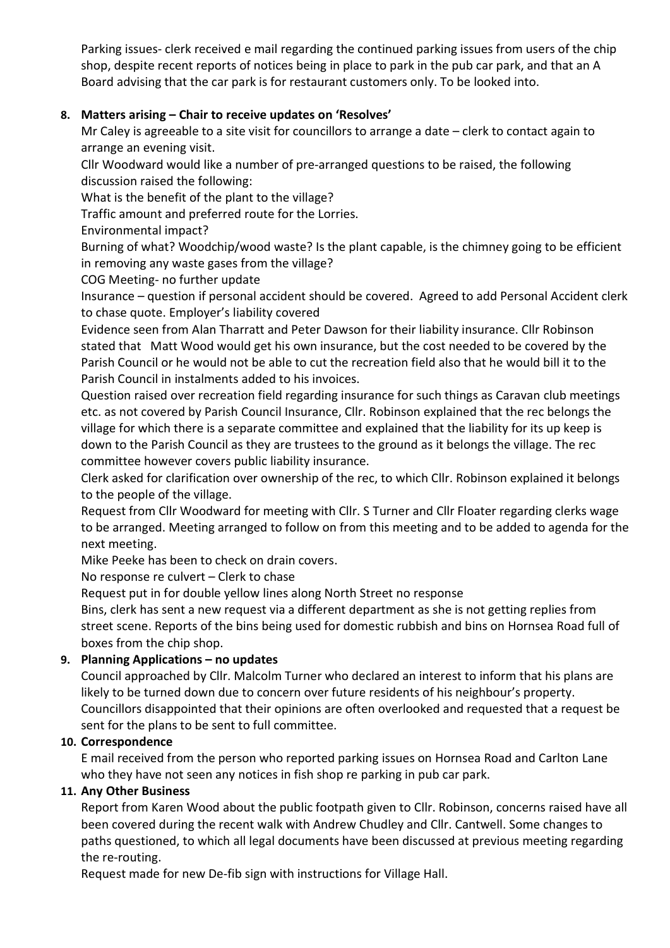Parking issues- clerk received e mail regarding the continued parking issues from users of the chip shop, despite recent reports of notices being in place to park in the pub car park, and that an A Board advising that the car park is for restaurant customers only. To be looked into.

# 8. Matters arising – Chair to receive updates on 'Resolves'

Mr Caley is agreeable to a site visit for councillors to arrange a date – clerk to contact again to arrange an evening visit.

Cllr Woodward would like a number of pre-arranged questions to be raised, the following discussion raised the following:

What is the benefit of the plant to the village?

Traffic amount and preferred route for the Lorries.

Environmental impact?

Burning of what? Woodchip/wood waste? Is the plant capable, is the chimney going to be efficient in removing any waste gases from the village?

COG Meeting- no further update

Insurance – question if personal accident should be covered. Agreed to add Personal Accident clerk to chase quote. Employer's liability covered

Evidence seen from Alan Tharratt and Peter Dawson for their liability insurance. Cllr Robinson stated that Matt Wood would get his own insurance, but the cost needed to be covered by the Parish Council or he would not be able to cut the recreation field also that he would bill it to the Parish Council in instalments added to his invoices.

Question raised over recreation field regarding insurance for such things as Caravan club meetings etc. as not covered by Parish Council Insurance, Cllr. Robinson explained that the rec belongs the village for which there is a separate committee and explained that the liability for its up keep is down to the Parish Council as they are trustees to the ground as it belongs the village. The rec committee however covers public liability insurance.

Clerk asked for clarification over ownership of the rec, to which Cllr. Robinson explained it belongs to the people of the village.

Request from Cllr Woodward for meeting with Cllr. S Turner and Cllr Floater regarding clerks wage to be arranged. Meeting arranged to follow on from this meeting and to be added to agenda for the next meeting.

Mike Peeke has been to check on drain covers.

No response re culvert – Clerk to chase

Request put in for double yellow lines along North Street no response

Bins, clerk has sent a new request via a different department as she is not getting replies from street scene. Reports of the bins being used for domestic rubbish and bins on Hornsea Road full of boxes from the chip shop.

# 9. Planning Applications – no updates

Council approached by Cllr. Malcolm Turner who declared an interest to inform that his plans are likely to be turned down due to concern over future residents of his neighbour's property. Councillors disappointed that their opinions are often overlooked and requested that a request be sent for the plans to be sent to full committee.

## 10. Correspondence

E mail received from the person who reported parking issues on Hornsea Road and Carlton Lane who they have not seen any notices in fish shop re parking in pub car park.

## 11. Any Other Business

Report from Karen Wood about the public footpath given to Cllr. Robinson, concerns raised have all been covered during the recent walk with Andrew Chudley and Cllr. Cantwell. Some changes to paths questioned, to which all legal documents have been discussed at previous meeting regarding the re-routing.

Request made for new De-fib sign with instructions for Village Hall.